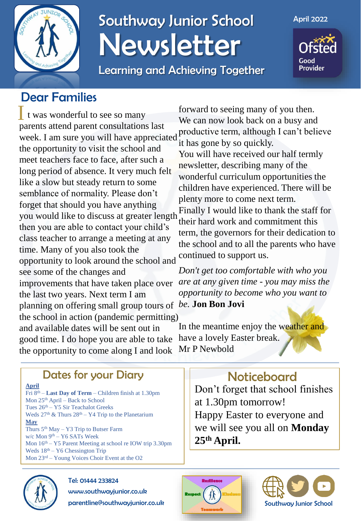

## Southway Junior School Newsletter

Learning and Achieving Together

April 2022

Good **Provider** 

### Dear Families

I t was wonderful to see so many parents attend parent consultations last week. I am sure you will have appreciated the opportunity to visit the school and meet teachers face to face, after such a long period of absence. It very much felt like a slow but steady return to some semblance of normality. Please don't forget that should you have anything you would like to discuss at greater length then you are able to contact your child's class teacher to arrange a meeting at any time. Many of you also took the opportunity to look around the school and see some of the changes and improvements that have taken place over the last two years. Next term I am planning on offering small group tours of *be.* **Jon Bon Jovi** the school in action (pandemic permitting) and available dates will be sent out in good time. I do hope you are able to take the opportunity to come along I and look

forward to seeing many of you then. We can now look back on a busy and productive term, although I can't believe it has gone by so quickly. You will have received our half termly

newsletter, describing many of the wonderful curriculum opportunities the children have experienced. There will be plenty more to come next term. Finally I would like to thank the staff for their hard work and commitment this term, the governors for their dedication to the school and to all the parents who have continued to support us.

*Don't get too comfortable with who you are at any given time - you may miss the opportunity to become who you want to* 

In the meantime enjoy the weather and have a lovely Easter break. Mr P Newbold

#### **Noticeboard**

Don't forget that school finishes at 1.30pm tomorrow! Happy Easter to everyone and we will see you all on **Monday 25th April.**





#### Dates for your Diary

**April**

Fri 8th – **Last Day of Term** – Children finish at 1.30pm Mon 25th April – Back to School Tues 26th – Y5 Sir Teachalot Greeks Weds  $27<sup>th</sup>$  & Thurs  $28<sup>th</sup> - Y4$  Trip to the Planetarium **May** Thurs 5th May – Y3 Trip to Butser Farm w/c Mon 9<sup>th</sup> – Y6 SATs Week Mon 16th – Y5 Parent Meeting at school re IOW trip 3.30pm Weds  $18<sup>th</sup> - Y6$  Chessington Trip Mon 23rd – Young Voices Choir Event at the O2



#### Tel: 01444 233824

www.southwayjunior.co.uk parentline@southwayjunior.co.uk